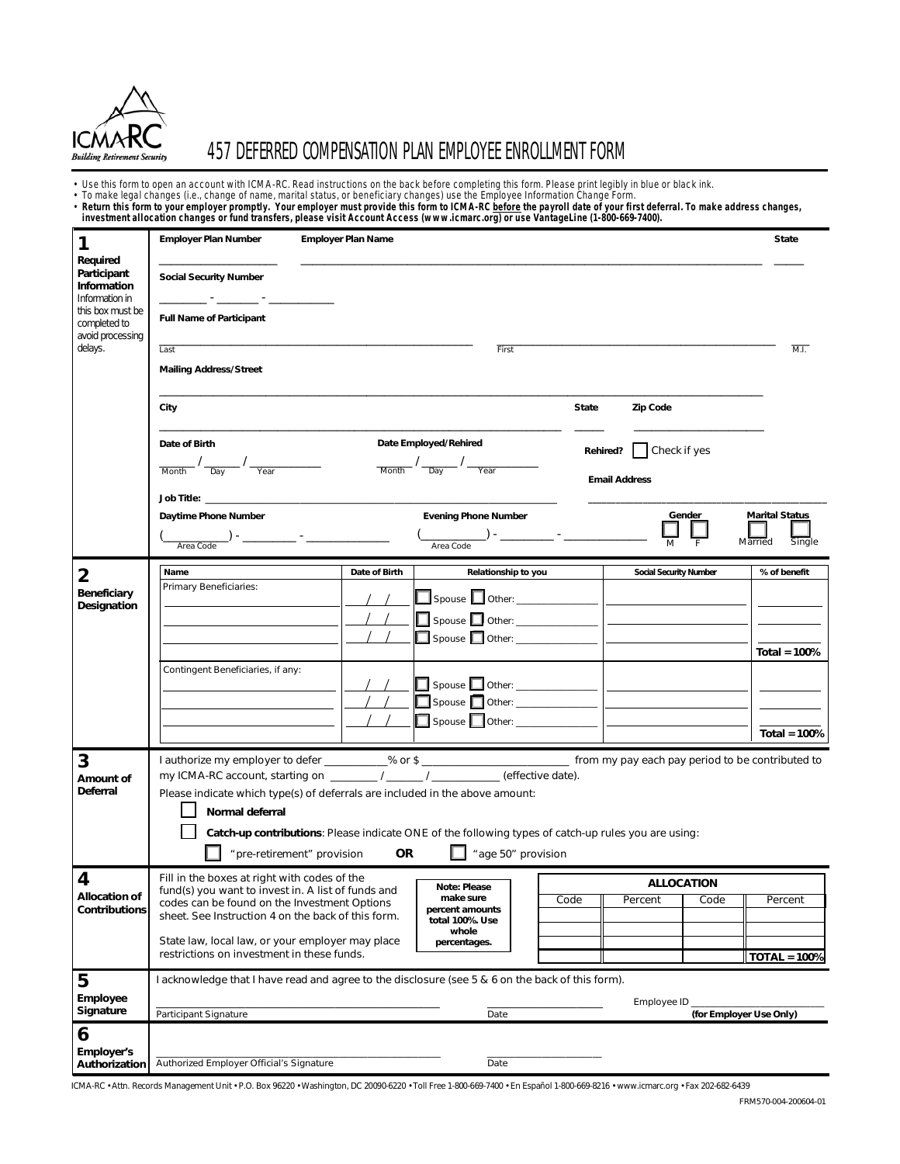

# 457 DEFERRED COMPENSATION PLAN EMPLOYEE ENROLLMENT FORM

• Use this form to open an account with ICMA-RC. Read instructions on the back before completing this form. Please print legibly in blue or black ink.<br>• To make legal changes (i.e., change of name, marital status, or bene

| , investment allocation changes or fund transfers, please visit Account Access (www.icmarc.org) or use VantageLine (1-800-669-7400). |  |  |
|--------------------------------------------------------------------------------------------------------------------------------------|--|--|
|                                                                                                                                      |  |  |

| 1                                                                                                                | <b>Employer Plan Number</b>                                                                                | <b>Employer Plan Name</b>                                                                                                                                                                                                                                                                                                                                                                                                         |                                                                                                                                                                                                                                           | <b>State</b>          |  |  |
|------------------------------------------------------------------------------------------------------------------|------------------------------------------------------------------------------------------------------------|-----------------------------------------------------------------------------------------------------------------------------------------------------------------------------------------------------------------------------------------------------------------------------------------------------------------------------------------------------------------------------------------------------------------------------------|-------------------------------------------------------------------------------------------------------------------------------------------------------------------------------------------------------------------------------------------|-----------------------|--|--|
| Required<br>Participant<br>Information<br>Information in<br>this box must be<br>completed to<br>avoid processing | <b>Social Security Number</b>                                                                              |                                                                                                                                                                                                                                                                                                                                                                                                                                   |                                                                                                                                                                                                                                           |                       |  |  |
|                                                                                                                  | <b>Full Name of Participant</b>                                                                            |                                                                                                                                                                                                                                                                                                                                                                                                                                   |                                                                                                                                                                                                                                           |                       |  |  |
| delays.                                                                                                          | Last                                                                                                       | First                                                                                                                                                                                                                                                                                                                                                                                                                             |                                                                                                                                                                                                                                           | ML.                   |  |  |
|                                                                                                                  | <b>Mailing Address/Street</b>                                                                              |                                                                                                                                                                                                                                                                                                                                                                                                                                   |                                                                                                                                                                                                                                           |                       |  |  |
|                                                                                                                  | City                                                                                                       |                                                                                                                                                                                                                                                                                                                                                                                                                                   | <b>State</b><br>Zip Code                                                                                                                                                                                                                  |                       |  |  |
|                                                                                                                  | Date of Birth                                                                                              | Date Employed/Rehired                                                                                                                                                                                                                                                                                                                                                                                                             | Check if yes<br>Rehired?                                                                                                                                                                                                                  |                       |  |  |
|                                                                                                                  | $\frac{1}{\frac{1}{\text{Month}}}$ / $\frac{1}{\frac{1}{\text{Year}}}$ / $\frac{1}{\frac{1}{\text{Year}}}$ | $\frac{1}{\frac{1}{\sqrt{1-\frac{1}{\sqrt{1-\frac{1}{\sqrt{1-\frac{1}{\sqrt{1-\frac{1}{\sqrt{1-\frac{1}{\sqrt{1-\frac{1}{\sqrt{1-\frac{1}{\sqrt{1-\frac{1}{\sqrt{1-\frac{1}{\sqrt{1-\frac{1}{\sqrt{1-\frac{1}{\sqrt{1-\frac{1}{\sqrt{1-\frac{1}{\sqrt{1-\frac{1}{\sqrt{1-\frac{1}{\sqrt{1-\frac{1}{\sqrt{1-\frac{1}{\sqrt{1-\frac{1}{\sqrt{1-\frac{1}{\sqrt{1-\frac{1}{\sqrt{1-\frac{1}{\sqrt{1-\frac{1}{\sqrt{1-\frac{1}{\sqrt{$ | <b>Email Address</b>                                                                                                                                                                                                                      |                       |  |  |
|                                                                                                                  | <b>Job Title:</b> _____________                                                                            |                                                                                                                                                                                                                                                                                                                                                                                                                                   | Gender                                                                                                                                                                                                                                    | <b>Marital Status</b> |  |  |
|                                                                                                                  | Daytime Phone Number                                                                                       | <b>Evening Phone Number</b>                                                                                                                                                                                                                                                                                                                                                                                                       |                                                                                                                                                                                                                                           |                       |  |  |
|                                                                                                                  | $\begin{array}{c}\n\hline\n\end{array} \qquad \qquad \begin{array}{c}\n\hline\n\end{array}$ Area Code      | Area Code                                                                                                                                                                                                                                                                                                                                                                                                                         | M<br>Married                                                                                                                                                                                                                              | Single                |  |  |
| 2                                                                                                                | Name                                                                                                       | Date of Birth<br>Relationship to you                                                                                                                                                                                                                                                                                                                                                                                              | <b>Social Security Number</b>                                                                                                                                                                                                             | % of benefit          |  |  |
| Beneficiary                                                                                                      | Primary Beneficiaries:                                                                                     |                                                                                                                                                                                                                                                                                                                                                                                                                                   | Spouse <b>but Other:</b> <u>Contact Contact   Contact Contact   Contact Contact Contact Contact Contact Contact Contact Contact Contact Contact Contact Contact Contact Contact Contact Contact Contact Contact Contact Contact Conta</u> |                       |  |  |
| Designation                                                                                                      |                                                                                                            | Spouse <b>D</b> Other: _______________                                                                                                                                                                                                                                                                                                                                                                                            | the control of the control of the                                                                                                                                                                                                         |                       |  |  |
|                                                                                                                  |                                                                                                            | Spouse other: ______________                                                                                                                                                                                                                                                                                                                                                                                                      | <b>Contract Contract Contract</b>                                                                                                                                                                                                         |                       |  |  |
|                                                                                                                  |                                                                                                            |                                                                                                                                                                                                                                                                                                                                                                                                                                   |                                                                                                                                                                                                                                           | Total = $100%$        |  |  |
|                                                                                                                  | Contingent Beneficiaries, if any:                                                                          |                                                                                                                                                                                                                                                                                                                                                                                                                                   |                                                                                                                                                                                                                                           |                       |  |  |
|                                                                                                                  |                                                                                                            | Spouse <b>October:</b> _______________                                                                                                                                                                                                                                                                                                                                                                                            | the control of the control of the control of the                                                                                                                                                                                          |                       |  |  |
|                                                                                                                  |                                                                                                            |                                                                                                                                                                                                                                                                                                                                                                                                                                   |                                                                                                                                                                                                                                           |                       |  |  |
|                                                                                                                  |                                                                                                            |                                                                                                                                                                                                                                                                                                                                                                                                                                   |                                                                                                                                                                                                                                           | <b>Total = 100%</b>   |  |  |
| 3                                                                                                                |                                                                                                            | l authorize my employer to defer _________% or \$ ____________________________ from my pay each pay period to be contributed to                                                                                                                                                                                                                                                                                                   |                                                                                                                                                                                                                                           |                       |  |  |
| Amount of<br><b>Deferral</b>                                                                                     |                                                                                                            | my ICMA-RC account, starting on ________/ ______/ ___________ (effective date).<br>Please indicate which type(s) of deferrals are included in the above amount:                                                                                                                                                                                                                                                                   |                                                                                                                                                                                                                                           |                       |  |  |
|                                                                                                                  | Normal deferral                                                                                            |                                                                                                                                                                                                                                                                                                                                                                                                                                   |                                                                                                                                                                                                                                           |                       |  |  |
|                                                                                                                  | Catch-up contributions: Please indicate ONE of the following types of catch-up rules you are using:        |                                                                                                                                                                                                                                                                                                                                                                                                                                   |                                                                                                                                                                                                                                           |                       |  |  |
|                                                                                                                  | " age 50" provision<br>" pre-retirement" provision<br><b>OR</b>                                            |                                                                                                                                                                                                                                                                                                                                                                                                                                   |                                                                                                                                                                                                                                           |                       |  |  |
| 4                                                                                                                | Fill in the boxes at right with codes of the                                                               |                                                                                                                                                                                                                                                                                                                                                                                                                                   |                                                                                                                                                                                                                                           |                       |  |  |
| <b>Allocation of</b>                                                                                             | fund(s) you want to invest in. A list of funds and                                                         | <b>Note: Please</b><br>make sure                                                                                                                                                                                                                                                                                                                                                                                                  | <b>ALLOCATION</b><br>Code<br>Percent<br>Code                                                                                                                                                                                              | Percent               |  |  |
| <b>Contributions</b>                                                                                             | codes can be found on the Investment Options<br>sheet. See Instruction 4 on the back of this form.         | percent amounts<br>total 100%. Use                                                                                                                                                                                                                                                                                                                                                                                                |                                                                                                                                                                                                                                           |                       |  |  |
|                                                                                                                  | State law, local law, or your employer may place                                                           | whole<br>percentages.                                                                                                                                                                                                                                                                                                                                                                                                             |                                                                                                                                                                                                                                           |                       |  |  |
|                                                                                                                  | restrictions on investment in these funds.                                                                 |                                                                                                                                                                                                                                                                                                                                                                                                                                   |                                                                                                                                                                                                                                           | $TOTAL = 100%$        |  |  |
| 5                                                                                                                | I acknowledge that I have read and agree to the disclosure (see 5 & 6 on the back of this form).           |                                                                                                                                                                                                                                                                                                                                                                                                                                   |                                                                                                                                                                                                                                           |                       |  |  |
| Employee                                                                                                         | Employee ID _                                                                                              |                                                                                                                                                                                                                                                                                                                                                                                                                                   |                                                                                                                                                                                                                                           |                       |  |  |
| Signature                                                                                                        | Participant Signature                                                                                      | Date                                                                                                                                                                                                                                                                                                                                                                                                                              | (for Employer Use Only)                                                                                                                                                                                                                   |                       |  |  |
| 6<br>Employer's                                                                                                  |                                                                                                            |                                                                                                                                                                                                                                                                                                                                                                                                                                   |                                                                                                                                                                                                                                           |                       |  |  |
| Authorization                                                                                                    | Authorized Employer Official's Signature                                                                   | Date                                                                                                                                                                                                                                                                                                                                                                                                                              |                                                                                                                                                                                                                                           |                       |  |  |

ICMA-RC • Attn. Records Management Unit • P.O. Box 96220 • Washington, DC 20090-6220 • Toll Free 1-800-669-7400 • En Español 1-800-669-8216 • www.icmarc.org • Fax 202-682-6439